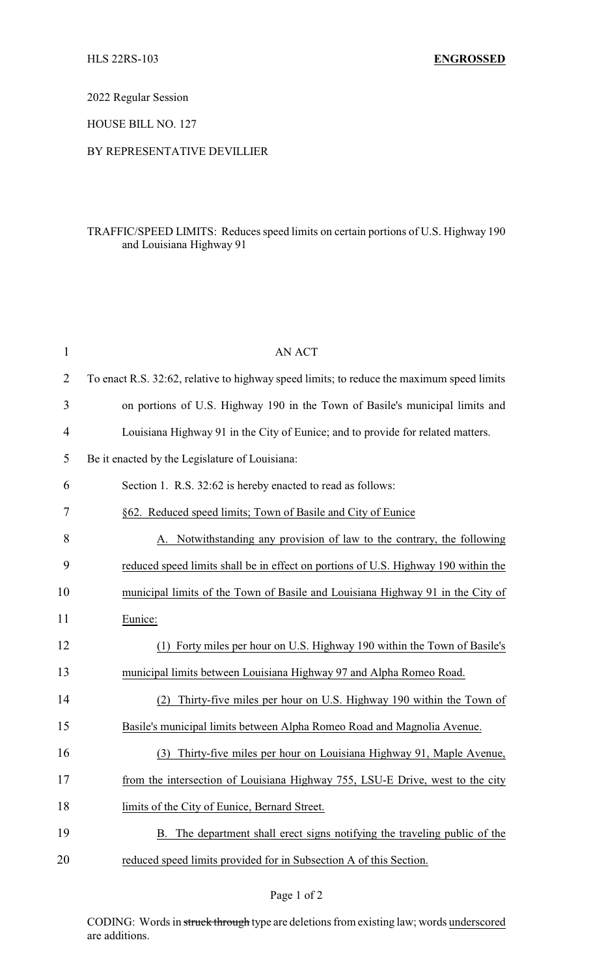2022 Regular Session

HOUSE BILL NO. 127

## BY REPRESENTATIVE DEVILLIER

## TRAFFIC/SPEED LIMITS: Reduces speed limits on certain portions of U.S. Highway 190 and Louisiana Highway 91

| $\mathbf{1}$ | <b>AN ACT</b>                                                                             |
|--------------|-------------------------------------------------------------------------------------------|
| 2            | To enact R.S. 32:62, relative to highway speed limits; to reduce the maximum speed limits |
| 3            | on portions of U.S. Highway 190 in the Town of Basile's municipal limits and              |
| 4            | Louisiana Highway 91 in the City of Eunice; and to provide for related matters.           |
| 5            | Be it enacted by the Legislature of Louisiana:                                            |
| 6            | Section 1. R.S. 32:62 is hereby enacted to read as follows:                               |
| 7            | §62. Reduced speed limits; Town of Basile and City of Eunice                              |
| 8            | Notwithstanding any provision of law to the contrary, the following                       |
| 9            | reduced speed limits shall be in effect on portions of U.S. Highway 190 within the        |
| 10           | municipal limits of the Town of Basile and Louisiana Highway 91 in the City of            |
| 11           | Eunice:                                                                                   |
| 12           | (1) Forty miles per hour on U.S. Highway 190 within the Town of Basile's                  |
| 13           | municipal limits between Louisiana Highway 97 and Alpha Romeo Road.                       |
| 14           | Thirty-five miles per hour on U.S. Highway 190 within the Town of                         |
| 15           | Basile's municipal limits between Alpha Romeo Road and Magnolia Avenue.                   |
| 16           | Thirty-five miles per hour on Louisiana Highway 91, Maple Avenue,<br>(3)                  |
| 17           | from the intersection of Louisiana Highway 755, LSU-E Drive, west to the city             |
| 18           | limits of the City of Eunice, Bernard Street.                                             |
| 19           | The department shall erect signs notifying the traveling public of the<br>B.              |
| 20           | reduced speed limits provided for in Subsection A of this Section.                        |

CODING: Words in struck through type are deletions from existing law; words underscored are additions.